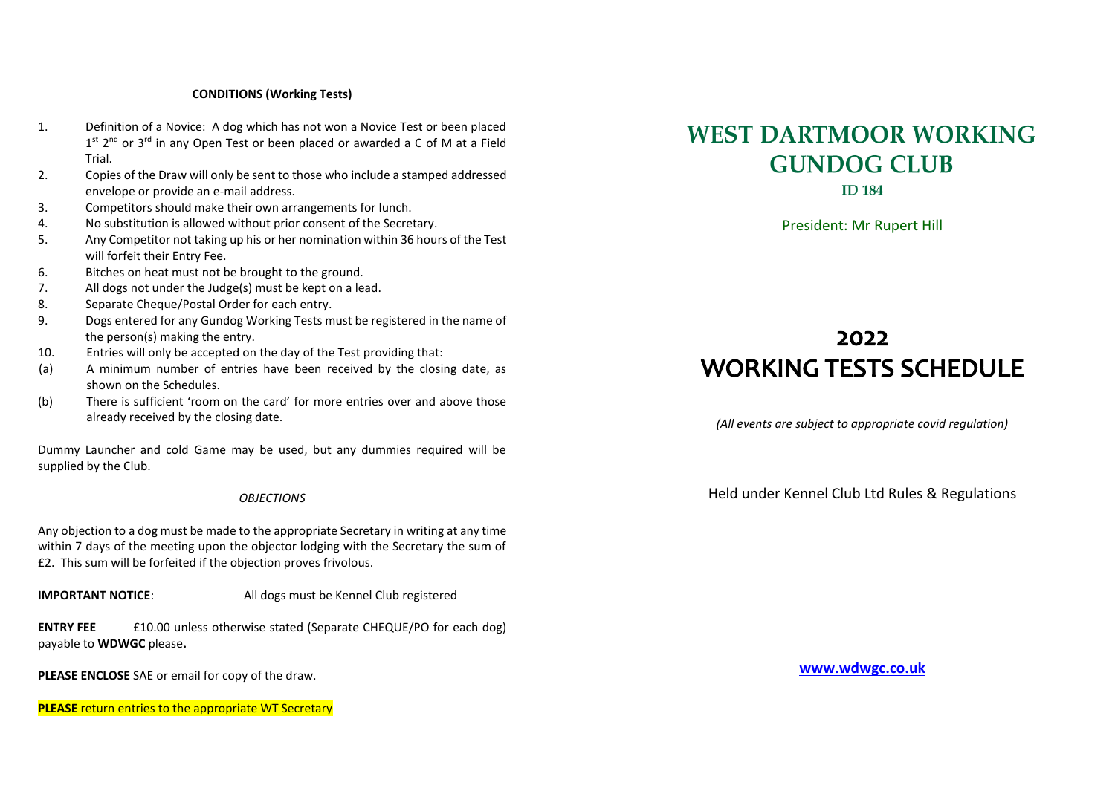#### **CONDITIONS (Working Tests)**

- 1. Definition of a Novice: A dog which has not won a Novice Test or been placed  $1^{st}$  2<sup>nd</sup> or 3<sup>rd</sup> in any Open Test or been placed or awarded a C of M at a Field Trial.
- 2. Copies of the Draw will only be sent to those who include a stamped addressed envelope or provide an e-mail address.
- 3. Competitors should make their own arrangements for lunch.
- 4. No substitution is allowed without prior consent of the Secretary.
- 5. Any Competitor not taking up his or her nomination within 36 hours of the Test will forfeit their Entry Fee.
- 6. Bitches on heat must not be brought to the ground.
- 7. All dogs not under the Judge(s) must be kept on a lead.
- 8. Separate Cheque/Postal Order for each entry.<br>9 Dogs entered for any Gundog Working Tests m
- 9. Dogs entered for any Gundog Working Tests must be registered in the name of the person(s) making the entry.
- 10. Entries will only be accepted on the day of the Test providing that:
- (a) A minimum number of entries have been received by the closing date, as shown on the Schedules.
- (b) There is sufficient 'room on the card' for more entries over and above those already received by the closing date.

Dummy Launcher and cold Game may be used, but any dummies required will be supplied by the Club.

#### *OBJECTIONS*

Any objection to a dog must be made to the appropriate Secretary in writing at any time within 7 days of the meeting upon the objector lodging with the Secretary the sum of £2. This sum will be forfeited if the objection proves frivolous.

**IMPORTANT NOTICE:** All dogs must be Kennel Club registered

**ENTRY FEE** £10.00 unless otherwise stated (Separate CHEQUE/PO for each dog) payable to **WDWGC** please**.** 

**PLEASE ENCLOSE** SAE or email for copy of the draw.

**PLEASE** return entries to the appropriate WT Secretary

# **WEST DARTMOOR WORKING GUNDOG CLUB**

**ID 184** 

President: Mr Rupert Hill

## 2022 **WORKING TESTS SCHEDULE**

*(All events are subject to appropriate covid regulation)*

Held under Kennel Club Ltd Rules & Regulations

**[www.wdwgc.co.uk](http://www.wdwgc.co.uk/)**